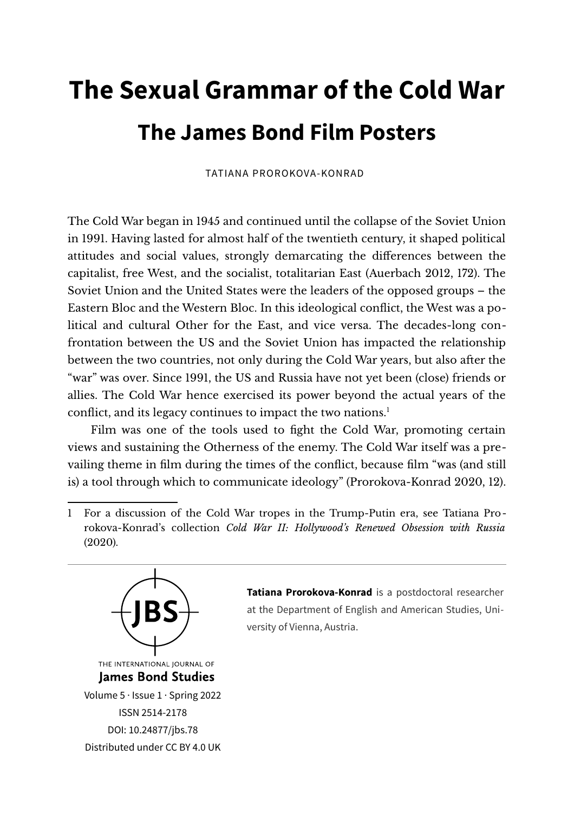# **The Sexual Grammar of the Cold War The James Bond Film Posters**

TATIANA PROROKOVA-KONRAD

The Cold War began in 1945 and continued until the collapse of the Soviet Union in 1991. Having lasted for almost half of the twentieth century, it shaped political attitudes and social values, strongly demarcating the diferences between the capitalist, free West, and the socialist, totalitarian East (Auerbach 2012, 172). The Soviet Union and the United States were the leaders of the opposed groups – the Eastern Bloc and the Western Bloc. In this ideological confict, the West was a political and cultural Other for the East, and vice versa. The decades-long confrontation between the US and the Soviet Union has impacted the relationship between the two countries, not only during the Cold War years, but also afer the "war" was over. Since 1991, the US and Russia have not yet been (close) friends or allies. The Cold War hence exercised its power beyond the actual years of the conflict, and its legacy continues to impact the two nations.<sup>[1](#page-0-0)</sup>

Film was one of the tools used to fght the Cold War, promoting certain views and sustaining the Otherness of the enemy. The Cold War itself was a prevailing theme in flm during the times of the confict, because flm "was (and still is) a tool through which to communicate ideology" (Prorokova-Konrad 2020, 12).

<span id="page-0-0"></span><sup>1</sup> For a discussion of the Cold War tropes in the Trump-Putin era, see Tatiana Prorokova-Konrad's collection *Cold War II: Hollywood's Renewed Obsession with Russia* (2020).



**Tatiana Prorokova-Konrad** is a postdoctoral researcher at the Department of English and American Studies, University of Vienna, Austria.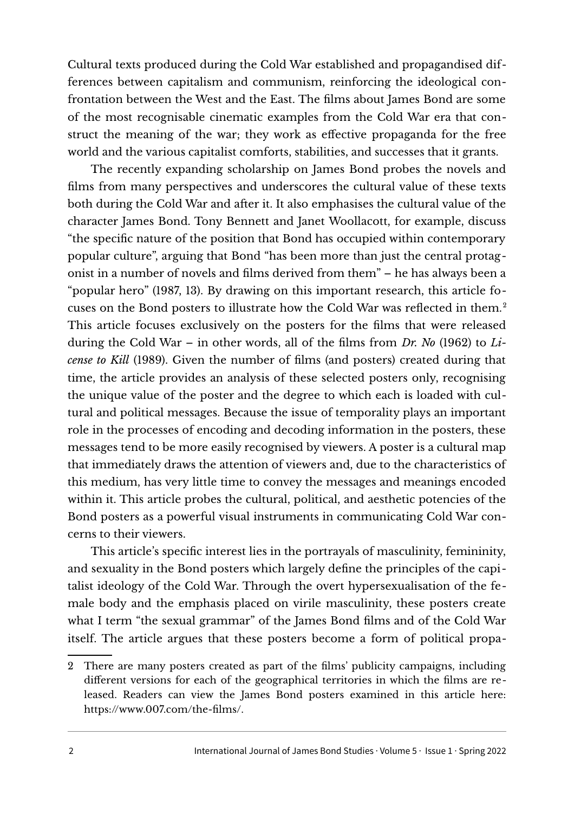Cultural texts produced during the Cold War established and propagandised differences between capitalism and communism, reinforcing the ideological confrontation between the West and the East. The flms about James Bond are some of the most recognisable cinematic examples from the Cold War era that construct the meaning of the war; they work as efective propaganda for the free world and the various capitalist comforts, stabilities, and successes that it grants.

The recently expanding scholarship on James Bond probes the novels and flms from many perspectives and underscores the cultural value of these texts both during the Cold War and afer it. It also emphasises the cultural value of the character James Bond. Tony Bennett and Janet Woollacott, for example, discuss "the specifc nature of the position that Bond has occupied within contemporary popular culture", arguing that Bond "has been more than just the central protagonist in a number of novels and flms derived from them" – he has always been a "popular hero" (1987, 13). By drawing on this important research, this article focuses on the Bond posters to illustrate how the Cold War was refected in them.[2](#page-1-0) This article focuses exclusively on the posters for the flms that were released during the Cold War – in other words, all of the flms from *Dr. No* (1962) to *License to Kill* (1989). Given the number of flms (and posters) created during that time, the article provides an analysis of these selected posters only, recognising the unique value of the poster and the degree to which each is loaded with cultural and political messages. Because the issue of temporality plays an important role in the processes of encoding and decoding information in the posters, these messages tend to be more easily recognised by viewers. A poster is a cultural map that immediately draws the attention of viewers and, due to the characteristics of this medium, has very little time to convey the messages and meanings encoded within it. This article probes the cultural, political, and aesthetic potencies of the Bond posters as a powerful visual instruments in communicating Cold War concerns to their viewers.

This article's specifc interest lies in the portrayals of masculinity, femininity, and sexuality in the Bond posters which largely defne the principles of the capitalist ideology of the Cold War. Through the overt hypersexualisation of the female body and the emphasis placed on virile masculinity, these posters create what I term "the sexual grammar" of the James Bond flms and of the Cold War itself. The article argues that these posters become a form of political propa-

<span id="page-1-0"></span><sup>2</sup> There are many posters created as part of the flms' publicity campaigns, including diferent versions for each of the geographical territories in which the flms are released. Readers can view the James Bond posters examined in this article here: [https://www.007.com/the-flms/.](https://www.007.com/the-films/)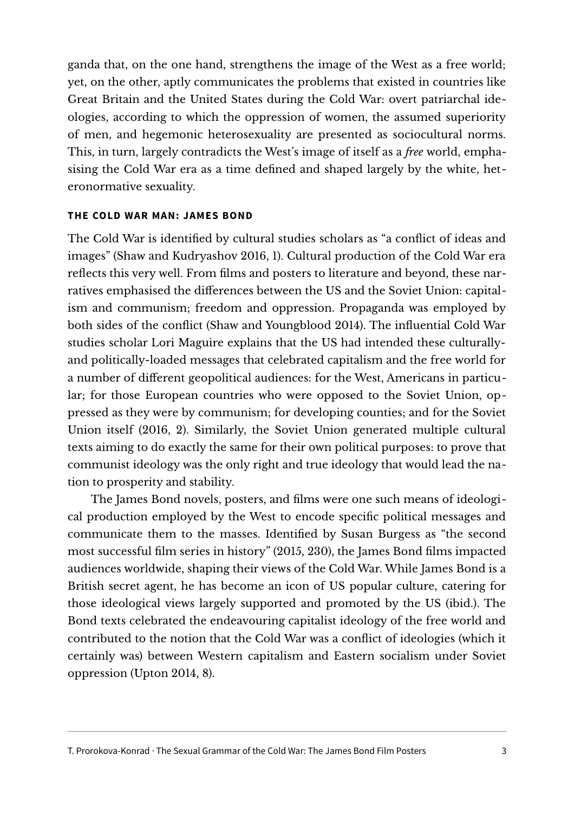ganda that, on the one hand, strengthens the image of the West as a free world; yet, on the other, aptly communicates the problems that existed in countries like Great Britain and the United States during the Cold War: overt patriarchal ideologies, according to which the oppression of women, the assumed superiority of men, and hegemonic heterosexuality are presented as sociocultural norms. This, in turn, largely contradicts the West's image of itself as a *free* world, emphasising the Cold War era as a time defned and shaped largely by the white, heteronormative sexuality.

#### **THE COLD WAR MAN: JAMES BOND**

The Cold War is identifed by cultural studies scholars as "a confict of ideas and images" (Shaw and Kudryashov 2016, 1). Cultural production of the Cold War era reflects this very well. From films and posters to literature and beyond, these narratives emphasised the diferences between the US and the Soviet Union: capitalism and communism; freedom and oppression. Propaganda was employed by both sides of the confict (Shaw and Youngblood 2014). The infuential Cold War studies scholar Lori Maguire explains that the US had intended these culturallyand politically-loaded messages that celebrated capitalism and the free world for a number of diferent geopolitical audiences: for the West, Americans in particular; for those European countries who were opposed to the Soviet Union, oppressed as they were by communism; for developing counties; and for the Soviet Union itself (2016, 2). Similarly, the Soviet Union generated multiple cultural texts aiming to do exactly the same for their own political purposes: to prove that communist ideology was the only right and true ideology that would lead the nation to prosperity and stability.

The James Bond novels, posters, and flms were one such means of ideological production employed by the West to encode specifc political messages and communicate them to the masses. Identifed by Susan Burgess as "the second most successful flm series in history" (2015, 230), the James Bond flms impacted audiences worldwide, shaping their views of the Cold War. While James Bond is a British secret agent, he has become an icon of US popular culture, catering for those ideological views largely supported and promoted by the US (ibid.). The Bond texts celebrated the endeavouring capitalist ideology of the free world and contributed to the notion that the Cold War was a confict of ideologies (which it certainly was) between Western capitalism and Eastern socialism under Soviet oppression (Upton 2014, 8).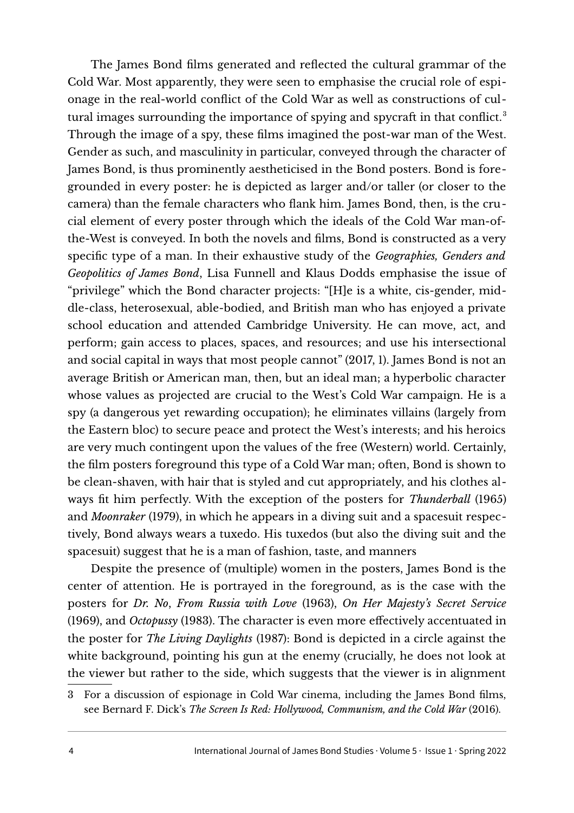The James Bond flms generated and refected the cultural grammar of the Cold War. Most apparently, they were seen to emphasise the crucial role of espionage in the real-world confict of the Cold War as well as constructions of cul-tural images surrounding the importance of spying and spycraft in that conflict.<sup>[3](#page-3-0)</sup> Through the image of a spy, these flms imagined the post-war man of the West. Gender as such, and masculinity in particular, conveyed through the character of James Bond, is thus prominently aestheticised in the Bond posters. Bond is foregrounded in every poster: he is depicted as larger and/or taller (or closer to the camera) than the female characters who fank him. James Bond, then, is the crucial element of every poster through which the ideals of the Cold War man-ofthe-West is conveyed. In both the novels and flms, Bond is constructed as a very specifc type of a man. In their exhaustive study of the *Geographies, Genders and Geopolitics of James Bond*, Lisa Funnell and Klaus Dodds emphasise the issue of "privilege" which the Bond character projects: "[H]e is a white, cis-gender, middle-class, heterosexual, able-bodied, and British man who has enjoyed a private school education and attended Cambridge University. He can move, act, and perform; gain access to places, spaces, and resources; and use his intersectional and social capital in ways that most people cannot" (2017, 1). James Bond is not an average British or American man, then, but an ideal man; a hyperbolic character whose values as projected are crucial to the West's Cold War campaign. He is a spy (a dangerous yet rewarding occupation); he eliminates villains (largely from the Eastern bloc) to secure peace and protect the West's interests; and his heroics are very much contingent upon the values of the free (Western) world. Certainly, the flm posters foreground this type of a Cold War man; ofen, Bond is shown to be clean-shaven, with hair that is styled and cut appropriately, and his clothes always ft him perfectly. With the exception of the posters for *Thunderball* (1965) and *Moonraker* (1979), in which he appears in a diving suit and a spacesuit respectively, Bond always wears a tuxedo. His tuxedos (but also the diving suit and the spacesuit) suggest that he is a man of fashion, taste, and manners

Despite the presence of (multiple) women in the posters, James Bond is the center of attention. He is portrayed in the foreground, as is the case with the posters for *Dr. No*, *From Russia with Love* (1963), *On Her Majesty's Secret Service* (1969), and *Octopussy* (1983). The character is even more efectively accentuated in the poster for *The Living Daylights* (1987): Bond is depicted in a circle against the white background, pointing his gun at the enemy (crucially, he does not look at the viewer but rather to the side, which suggests that the viewer is in alignment

<span id="page-3-0"></span><sup>3</sup> For a discussion of espionage in Cold War cinema, including the James Bond flms, see Bernard F. Dick's *The Screen Is Red: Hollywood, Communism, and the Cold War* (2016).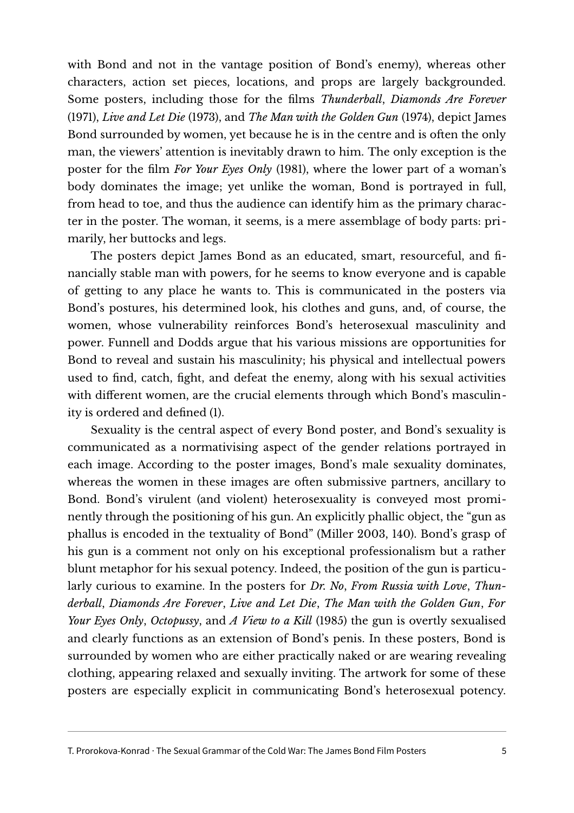with Bond and not in the vantage position of Bond's enemy), whereas other characters, action set pieces, locations, and props are largely backgrounded. Some posters, including those for the flms *Thunderball*, *Diamonds Are Forever* (1971), *Live and Let Die* (1973), and *The Man with the Golden Gun* (1974), depict James Bond surrounded by women, yet because he is in the centre and is often the only man, the viewers' attention is inevitably drawn to him. The only exception is the poster for the flm *For Your Eyes Only* (1981), where the lower part of a woman's body dominates the image; yet unlike the woman, Bond is portrayed in full, from head to toe, and thus the audience can identify him as the primary character in the poster. The woman, it seems, is a mere assemblage of body parts: primarily, her buttocks and legs.

The posters depict James Bond as an educated, smart, resourceful, and fnancially stable man with powers, for he seems to know everyone and is capable of getting to any place he wants to. This is communicated in the posters via Bond's postures, his determined look, his clothes and guns, and, of course, the women, whose vulnerability reinforces Bond's heterosexual masculinity and power. Funnell and Dodds argue that his various missions are opportunities for Bond to reveal and sustain his masculinity; his physical and intellectual powers used to fnd, catch, fght, and defeat the enemy, along with his sexual activities with diferent women, are the crucial elements through which Bond's masculinity is ordered and defned (1).

Sexuality is the central aspect of every Bond poster, and Bond's sexuality is communicated as a normativising aspect of the gender relations portrayed in each image. According to the poster images, Bond's male sexuality dominates, whereas the women in these images are often submissive partners, ancillary to Bond. Bond's virulent (and violent) heterosexuality is conveyed most prominently through the positioning of his gun. An explicitly phallic object, the "gun as phallus is encoded in the textuality of Bond" (Miller 2003, 140). Bond's grasp of his gun is a comment not only on his exceptional professionalism but a rather blunt metaphor for his sexual potency. Indeed, the position of the gun is particularly curious to examine. In the posters for *Dr. No*, *From Russia with Love*, *Thunderball*, *Diamonds Are Forever*, *Live and Let Die*, *The Man with the Golden Gun*, *For Your Eyes Only*, *Octopussy*, and *A View to a Kill* (1985) the gun is overtly sexualised and clearly functions as an extension of Bond's penis. In these posters, Bond is surrounded by women who are either practically naked or are wearing revealing clothing, appearing relaxed and sexually inviting. The artwork for some of these posters are especially explicit in communicating Bond's heterosexual potency.

T. Prorokova-Konrad · The Sexual Grammar of the Cold War: The James Bond Film Posters 5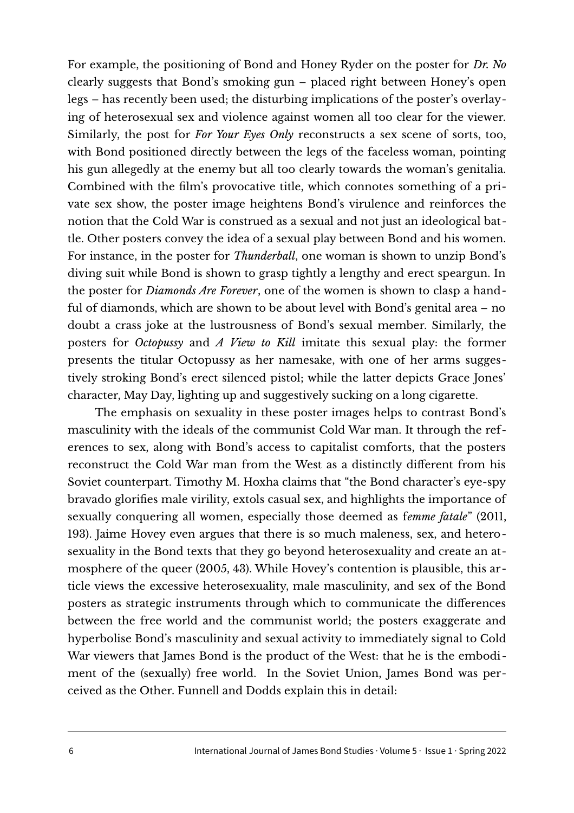For example, the positioning of Bond and Honey Ryder on the poster for *Dr. No* clearly suggests that Bond's smoking gun – placed right between Honey's open legs – has recently been used; the disturbing implications of the poster's overlaying of heterosexual sex and violence against women all too clear for the viewer. Similarly, the post for *For Your Eyes Only* reconstructs a sex scene of sorts, too, with Bond positioned directly between the legs of the faceless woman, pointing his gun allegedly at the enemy but all too clearly towards the woman's genitalia. Combined with the flm's provocative title, which connotes something of a private sex show, the poster image heightens Bond's virulence and reinforces the notion that the Cold War is construed as a sexual and not just an ideological battle. Other posters convey the idea of a sexual play between Bond and his women. For instance, in the poster for *Thunderball*, one woman is shown to unzip Bond's diving suit while Bond is shown to grasp tightly a lengthy and erect speargun. In the poster for *Diamonds Are Forever*, one of the women is shown to clasp a handful of diamonds, which are shown to be about level with Bond's genital area – no doubt a crass joke at the lustrousness of Bond's sexual member. Similarly, the posters for *Octopussy* and *A View to Kill* imitate this sexual play: the former presents the titular Octopussy as her namesake, with one of her arms suggestively stroking Bond's erect silenced pistol; while the latter depicts Grace Jones' character, May Day, lighting up and suggestively sucking on a long cigarette.

The emphasis on sexuality in these poster images helps to contrast Bond's masculinity with the ideals of the communist Cold War man. It through the references to sex, along with Bond's access to capitalist comforts, that the posters reconstruct the Cold War man from the West as a distinctly diferent from his Soviet counterpart. Timothy M. Hoxha claims that "the Bond character's eye-spy bravado glorifes male virility, extols casual sex, and highlights the importance of sexually conquering all women, especially those deemed as f*emme fatale*" (2011, 193). Jaime Hovey even argues that there is so much maleness, sex, and heterosexuality in the Bond texts that they go beyond heterosexuality and create an atmosphere of the queer (2005, 43). While Hovey's contention is plausible, this article views the excessive heterosexuality, male masculinity, and sex of the Bond posters as strategic instruments through which to communicate the diferences between the free world and the communist world; the posters exaggerate and hyperbolise Bond's masculinity and sexual activity to immediately signal to Cold War viewers that James Bond is the product of the West: that he is the embodiment of the (sexually) free world. In the Soviet Union, James Bond was perceived as the Other. Funnell and Dodds explain this in detail: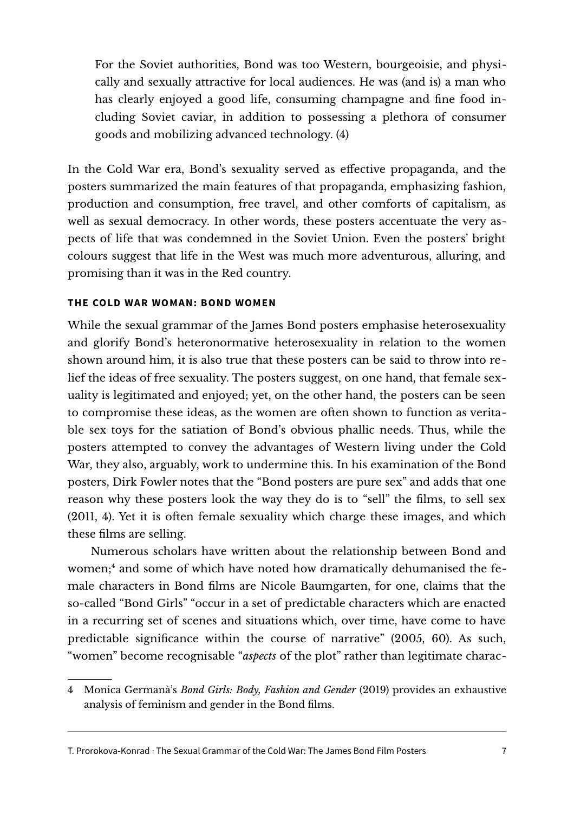For the Soviet authorities, Bond was too Western, bourgeoisie, and physically and sexually attractive for local audiences. He was (and is) a man who has clearly enjoyed a good life, consuming champagne and fne food including Soviet caviar, in addition to possessing a plethora of consumer goods and mobilizing advanced technology. (4)

In the Cold War era, Bond's sexuality served as efective propaganda, and the posters summarized the main features of that propaganda, emphasizing fashion, production and consumption, free travel, and other comforts of capitalism, as well as sexual democracy. In other words, these posters accentuate the very aspects of life that was condemned in the Soviet Union. Even the posters' bright colours suggest that life in the West was much more adventurous, alluring, and promising than it was in the Red country.

## **THE COLD WAR WOMAN: BOND WOMEN**

While the sexual grammar of the James Bond posters emphasise heterosexuality and glorify Bond's heteronormative heterosexuality in relation to the women shown around him, it is also true that these posters can be said to throw into relief the ideas of free sexuality. The posters suggest, on one hand, that female sexuality is legitimated and enjoyed; yet, on the other hand, the posters can be seen to compromise these ideas, as the women are ofen shown to function as veritable sex toys for the satiation of Bond's obvious phallic needs. Thus, while the posters attempted to convey the advantages of Western living under the Cold War, they also, arguably, work to undermine this. In his examination of the Bond posters, Dirk Fowler notes that the "Bond posters are pure sex" and adds that one reason why these posters look the way they do is to "sell" the flms, to sell sex (2011, 4). Yet it is ofen female sexuality which charge these images, and which these flms are selling.

Numerous scholars have written about the relationship between Bond and women;<sup>[4](#page-6-0)</sup> and some of which have noted how dramatically dehumanised the female characters in Bond flms are Nicole Baumgarten, for one, claims that the so-called "Bond Girls" "occur in a set of predictable characters which are enacted in a recurring set of scenes and situations which, over time, have come to have predictable signifcance within the course of narrative" (2005, 60). As such, "women" become recognisable "*aspects* of the plot" rather than legitimate charac-

<span id="page-6-0"></span><sup>4</sup> Monica Germanà's *Bond Girls: Body, Fashion and Gender* (2019) provides an exhaustive analysis of feminism and gender in the Bond flms.

T. Prorokova-Konrad · The Sexual Grammar of the Cold War: The James Bond Film Posters 7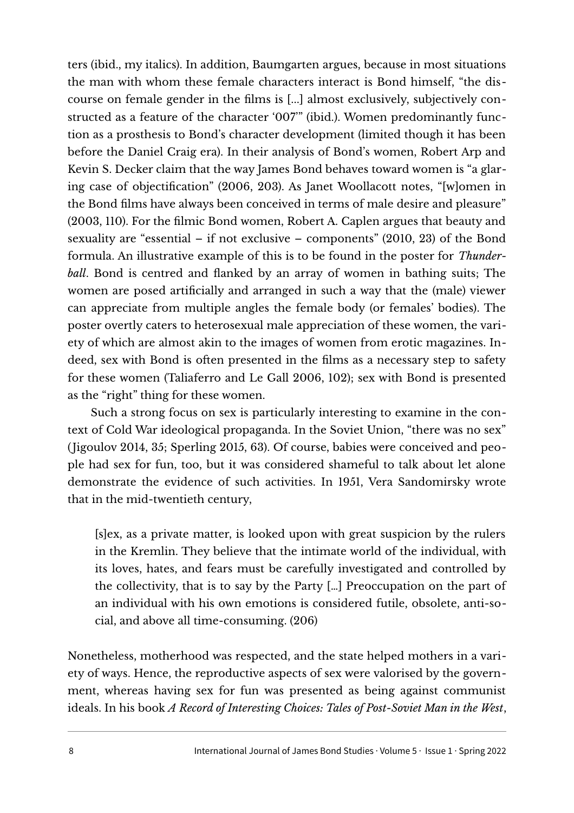ters (ibid., my italics). In addition, Baumgarten argues, because in most situations the man with whom these female characters interact is Bond himself, "the discourse on female gender in the flms is [...] almost exclusively, subjectively constructed as a feature of the character '007'" (ibid.). Women predominantly function as a prosthesis to Bond's character development (limited though it has been before the Daniel Craig era). In their analysis of Bond's women, Robert Arp and Kevin S. Decker claim that the way James Bond behaves toward women is "a glaring case of objectifcation" (2006, 203). As Janet Woollacott notes, "[w]omen in the Bond flms have always been conceived in terms of male desire and pleasure" (2003, 110). For the flmic Bond women, Robert A. Caplen argues that beauty and sexuality are "essential – if not exclusive – components" (2010, 23) of the Bond formula. An illustrative example of this is to be found in the poster for *Thunderball*. Bond is centred and fanked by an array of women in bathing suits; The women are posed artifcially and arranged in such a way that the (male) viewer can appreciate from multiple angles the female body (or females' bodies). The poster overtly caters to heterosexual male appreciation of these women, the variety of which are almost akin to the images of women from erotic magazines. Indeed, sex with Bond is often presented in the films as a necessary step to safety for these women (Taliaferro and Le Gall 2006, 102); sex with Bond is presented as the "right" thing for these women.

Such a strong focus on sex is particularly interesting to examine in the context of Cold War ideological propaganda. In the Soviet Union, "there was no sex" (Jigoulov 2014, 35; Sperling 2015, 63). Of course, babies were conceived and people had sex for fun, too, but it was considered shameful to talk about let alone demonstrate the evidence of such activities. In 1951, Vera Sandomirsky wrote that in the mid-twentieth century,

[s]ex, as a private matter, is looked upon with great suspicion by the rulers in the Kremlin. They believe that the intimate world of the individual, with its loves, hates, and fears must be carefully investigated and controlled by the collectivity, that is to say by the Party […] Preoccupation on the part of an individual with his own emotions is considered futile, obsolete, anti-social, and above all time-consuming. (206)

Nonetheless, motherhood was respected, and the state helped mothers in a variety of ways. Hence, the reproductive aspects of sex were valorised by the government, whereas having sex for fun was presented as being against communist ideals. In his book *A Record of Interesting Choices: Tales of Post-Soviet Man in the West*,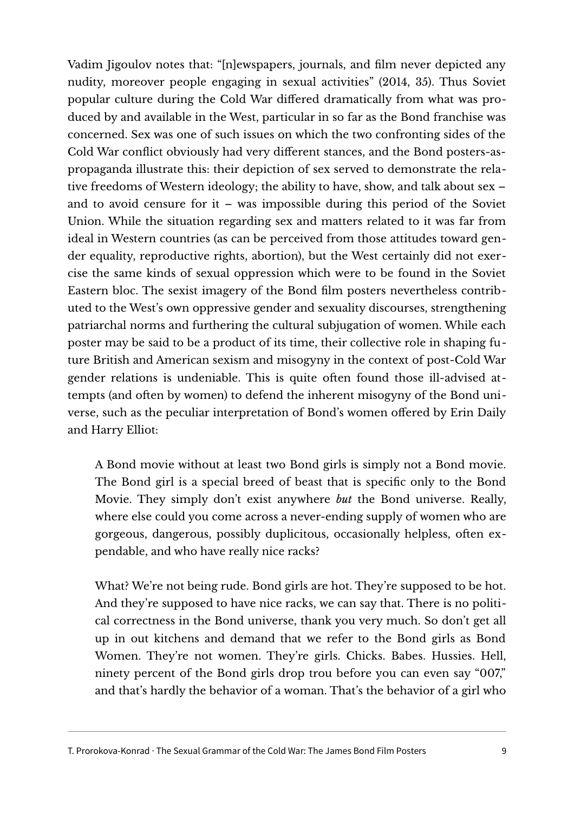Vadim Jigoulov notes that: "[n]ewspapers, journals, and flm never depicted any nudity, moreover people engaging in sexual activities" (2014, 35). Thus Soviet popular culture during the Cold War difered dramatically from what was produced by and available in the West, particular in so far as the Bond franchise was concerned. Sex was one of such issues on which the two confronting sides of the Cold War confict obviously had very diferent stances, and the Bond posters-aspropaganda illustrate this: their depiction of sex served to demonstrate the relative freedoms of Western ideology; the ability to have, show, and talk about sex – and to avoid censure for it – was impossible during this period of the Soviet Union. While the situation regarding sex and matters related to it was far from ideal in Western countries (as can be perceived from those attitudes toward gender equality, reproductive rights, abortion), but the West certainly did not exercise the same kinds of sexual oppression which were to be found in the Soviet Eastern bloc. The sexist imagery of the Bond flm posters nevertheless contributed to the West's own oppressive gender and sexuality discourses, strengthening patriarchal norms and furthering the cultural subjugation of women. While each poster may be said to be a product of its time, their collective role in shaping future British and American sexism and misogyny in the context of post-Cold War gender relations is undeniable. This is quite often found those ill-advised attempts (and often by women) to defend the inherent misogyny of the Bond universe, such as the peculiar interpretation of Bond's women ofered by Erin Daily and Harry Elliot:

A Bond movie without at least two Bond girls is simply not a Bond movie. The Bond girl is a special breed of beast that is specifc only to the Bond Movie. They simply don't exist anywhere *but* the Bond universe. Really, where else could you come across a never-ending supply of women who are gorgeous, dangerous, possibly duplicitous, occasionally helpless, ofen expendable, and who have really nice racks?

What? We're not being rude. Bond girls are hot. They're supposed to be hot. And they're supposed to have nice racks, we can say that. There is no political correctness in the Bond universe, thank you very much. So don't get all up in out kitchens and demand that we refer to the Bond girls as Bond Women. They're not women. They're girls. Chicks. Babes. Hussies. Hell, ninety percent of the Bond girls drop trou before you can even say "007," and that's hardly the behavior of a woman. That's the behavior of a girl who

T. Prorokova-Konrad · The Sexual Grammar of the Cold War: The James Bond Film Posters 9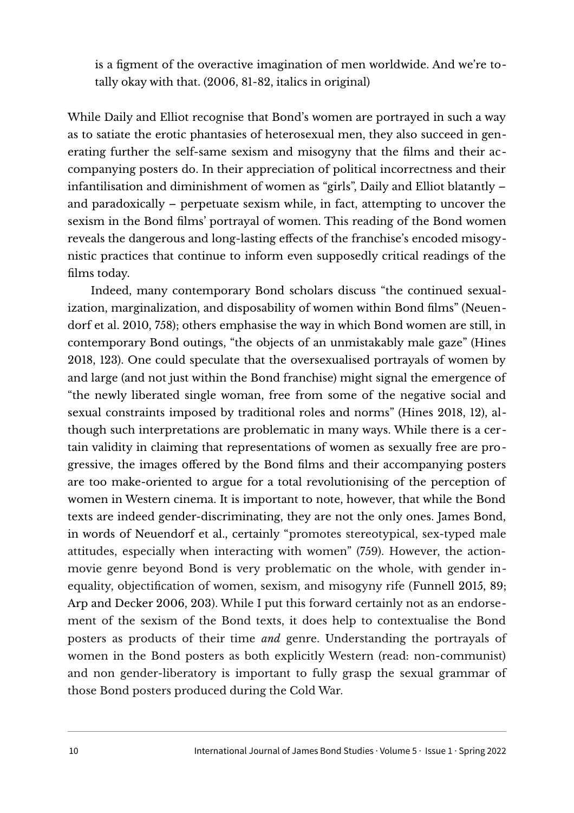is a fgment of the overactive imagination of men worldwide. And we're totally okay with that. (2006, 81-82, italics in original)

While Daily and Elliot recognise that Bond's women are portrayed in such a way as to satiate the erotic phantasies of heterosexual men, they also succeed in generating further the self-same sexism and misogyny that the flms and their accompanying posters do. In their appreciation of political incorrectness and their infantilisation and diminishment of women as "girls", Daily and Elliot blatantly – and paradoxically – perpetuate sexism while, in fact, attempting to uncover the sexism in the Bond flms' portrayal of women. This reading of the Bond women reveals the dangerous and long-lasting efects of the franchise's encoded misogynistic practices that continue to inform even supposedly critical readings of the flms today.

Indeed, many contemporary Bond scholars discuss "the continued sexualization, marginalization, and disposability of women within Bond flms" (Neuendorf et al. 2010, 758); others emphasise the way in which Bond women are still, in contemporary Bond outings, "the objects of an unmistakably male gaze" (Hines 2018, 123). One could speculate that the oversexualised portrayals of women by and large (and not just within the Bond franchise) might signal the emergence of "the newly liberated single woman, free from some of the negative social and sexual constraints imposed by traditional roles and norms" (Hines 2018, 12), although such interpretations are problematic in many ways. While there is a certain validity in claiming that representations of women as sexually free are progressive, the images ofered by the Bond flms and their accompanying posters are too make-oriented to argue for a total revolutionising of the perception of women in Western cinema. It is important to note, however, that while the Bond texts are indeed gender-discriminating, they are not the only ones. James Bond, in words of Neuendorf et al., certainly "promotes stereotypical, sex-typed male attitudes, especially when interacting with women" (759). However, the actionmovie genre beyond Bond is very problematic on the whole, with gender inequality, objectifcation of women, sexism, and misogyny rife (Funnell 2015, 89; Arp and Decker 2006, 203). While I put this forward certainly not as an endorsement of the sexism of the Bond texts, it does help to contextualise the Bond posters as products of their time *and* genre. Understanding the portrayals of women in the Bond posters as both explicitly Western (read: non-communist) and non gender-liberatory is important to fully grasp the sexual grammar of those Bond posters produced during the Cold War.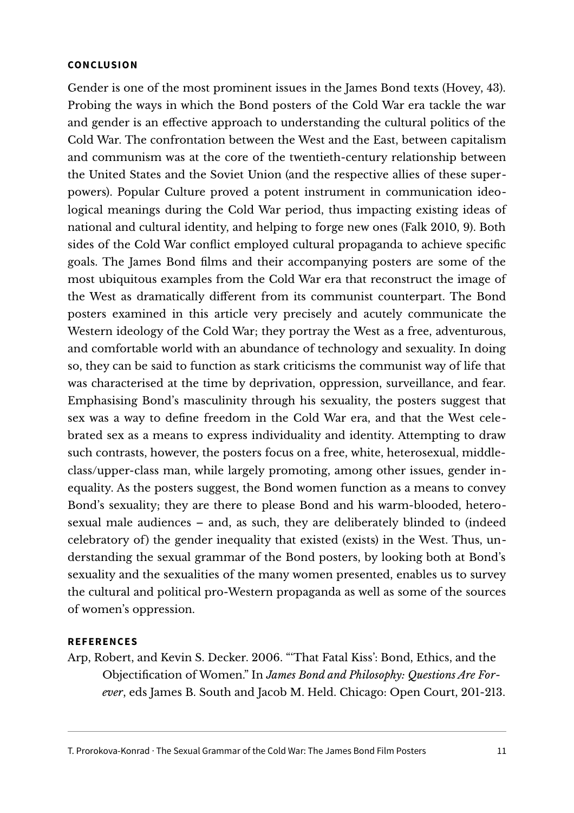#### **CONCLUSION**

Gender is one of the most prominent issues in the James Bond texts (Hovey, 43). Probing the ways in which the Bond posters of the Cold War era tackle the war and gender is an efective approach to understanding the cultural politics of the Cold War. The confrontation between the West and the East, between capitalism and communism was at the core of the twentieth-century relationship between the United States and the Soviet Union (and the respective allies of these superpowers). Popular Culture proved a potent instrument in communication ideological meanings during the Cold War period, thus impacting existing ideas of national and cultural identity, and helping to forge new ones (Falk 2010, 9). Both sides of the Cold War confict employed cultural propaganda to achieve specifc goals. The James Bond flms and their accompanying posters are some of the most ubiquitous examples from the Cold War era that reconstruct the image of the West as dramatically diferent from its communist counterpart. The Bond posters examined in this article very precisely and acutely communicate the Western ideology of the Cold War; they portray the West as a free, adventurous, and comfortable world with an abundance of technology and sexuality. In doing so, they can be said to function as stark criticisms the communist way of life that was characterised at the time by deprivation, oppression, surveillance, and fear. Emphasising Bond's masculinity through his sexuality, the posters suggest that sex was a way to defne freedom in the Cold War era, and that the West celebrated sex as a means to express individuality and identity. Attempting to draw such contrasts, however, the posters focus on a free, white, heterosexual, middleclass/upper-class man, while largely promoting, among other issues, gender inequality. As the posters suggest, the Bond women function as a means to convey Bond's sexuality; they are there to please Bond and his warm-blooded, heterosexual male audiences – and, as such, they are deliberately blinded to (indeed celebratory of) the gender inequality that existed (exists) in the West. Thus, understanding the sexual grammar of the Bond posters, by looking both at Bond's sexuality and the sexualities of the many women presented, enables us to survey the cultural and political pro-Western propaganda as well as some of the sources of women's oppression.

### **REFERENCES**

Arp, Robert, and Kevin S. Decker. 2006. "'That Fatal Kiss': Bond, Ethics, and the Objectifcation of Women." In *James Bond and Philosophy: Questions Are Forever*, eds James B. South and Jacob M. Held. Chicago: Open Court, 201-213.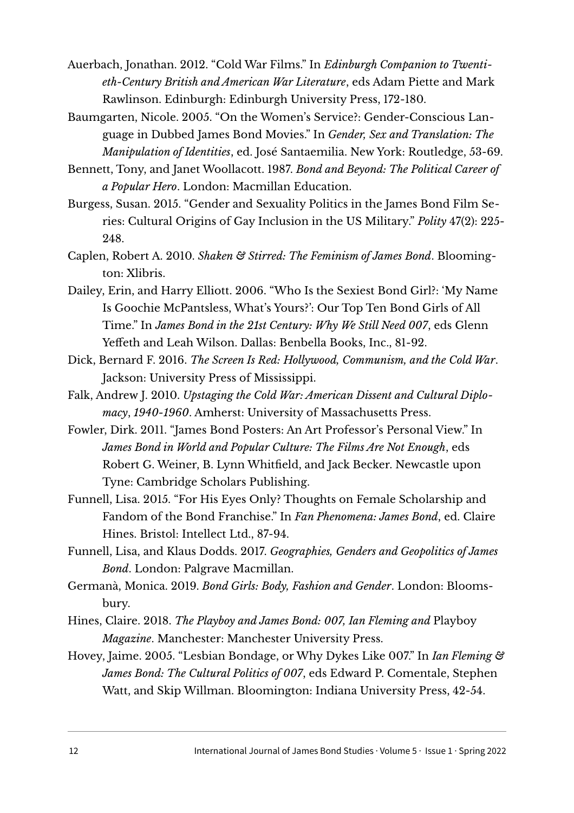Auerbach, Jonathan. 2012. "Cold War Films." In *Edinburgh Companion to Twentieth-Century British and American War Literature*, eds Adam Piette and Mark Rawlinson. Edinburgh: Edinburgh University Press, 172-180.

Baumgarten, Nicole. 2005. "On the Women's Service?: Gender-Conscious Language in Dubbed James Bond Movies." In *Gender, Sex and Translation: The Manipulation of Identities*, ed. José Santaemilia. New York: Routledge, 53-69.

Bennett, Tony, and Janet Woollacott. 1987. *Bond and Beyond: The Political Career of a Popular Hero*. London: Macmillan Education.

Burgess, Susan. 2015. "Gender and Sexuality Politics in the James Bond Film Series: Cultural Origins of Gay Inclusion in the US Military." *Polity* 47(2): 225- 248.

Caplen, Robert A. 2010. *Shaken & Stirred: The Feminism of James Bond*. Bloomington: Xlibris.

Dailey, Erin, and Harry Elliott. 2006. "Who Is the Sexiest Bond Girl?: 'My Name Is Goochie McPantsless, What's Yours?': Our Top Ten Bond Girls of All Time." In *James Bond in the 21st Century: Why We Still Need 007*, eds Glenn Yefeth and Leah Wilson. Dallas: Benbella Books, Inc., 81-92.

Dick, Bernard F. 2016. *The Screen Is Red: Hollywood, Communism, and the Cold War*. Jackson: University Press of Mississippi.

Falk, Andrew J. 2010. *Upstaging the Cold War: American Dissent and Cultural Diplomacy*, *1940-1960*. Amherst: University of Massachusetts Press.

Fowler, Dirk. 2011. "James Bond Posters: An Art Professor's Personal View." In *James Bond in World and Popular Culture: The Films Are Not Enough*, eds Robert G. Weiner, B. Lynn Whitfeld, and Jack Becker. Newcastle upon Tyne: Cambridge Scholars Publishing.

Funnell, Lisa. 2015. "For His Eyes Only? Thoughts on Female Scholarship and Fandom of the Bond Franchise." In *Fan Phenomena: James Bond*, ed. Claire Hines. Bristol: Intellect Ltd., 87-94.

Funnell, Lisa, and Klaus Dodds. 2017. *Geographies, Genders and Geopolitics of James Bond*. London: Palgrave Macmillan.

Germanà, Monica. 2019. *Bond Girls: Body, Fashion and Gender*. London: Bloomsbury.

Hines, Claire. 2018. *The Playboy and James Bond: 007, Ian Fleming and* Playboy *Magazine*. Manchester: Manchester University Press.

Hovey, Jaime. 2005. "Lesbian Bondage, or Why Dykes Like 007." In *Ian Fleming & James Bond: The Cultural Politics of 007*, eds Edward P. Comentale, Stephen Watt, and Skip Willman. Bloomington: Indiana University Press, 42-54.